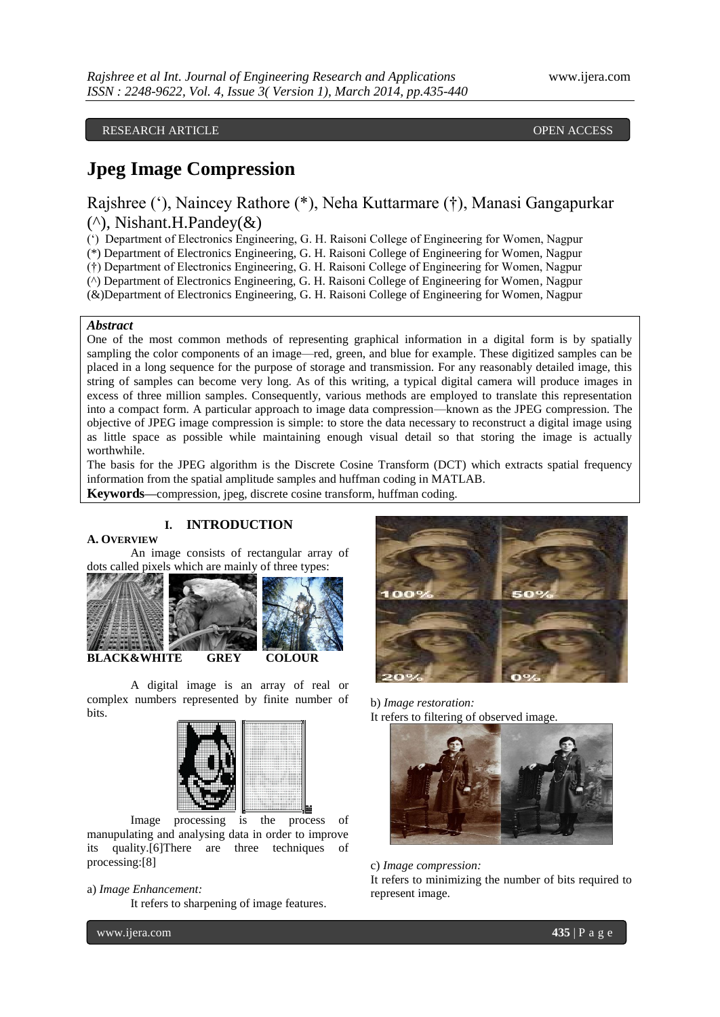RESEARCH ARTICLE OPEN ACCESS

# **Jpeg Image Compression**

## Rajshree ("), Naincey Rathore (\*), Neha Kuttarmare (†), Manasi Gangapurkar  $(\wedge)$ , Nishant.H.Pandey( $\&$ )

(") Department of Electronics Engineering, G. H. Raisoni College of Engineering for Women, Nagpur

(\*) Department of Electronics Engineering, G. H. Raisoni College of Engineering for Women, Nagpur

(†) Department of Electronics Engineering, G. H. Raisoni College of Engineering for Women, Nagpur

(^) Department of Electronics Engineering, G. H. Raisoni College of Engineering for Women, Nagpur

(&)Department of Electronics Engineering, G. H. Raisoni College of Engineering for Women, Nagpur

## *Abstract*

One of the most common methods of representing graphical information in a digital form is by spatially sampling the color components of an image—red, green, and blue for example. These digitized samples can be placed in a long sequence for the purpose of storage and transmission. For any reasonably detailed image, this string of samples can become very long. As of this writing, a typical digital camera will produce images in excess of three million samples. Consequently, various methods are employed to translate this representation into a compact form. A particular approach to image data compression—known as the JPEG compression. The objective of JPEG image compression is simple: to store the data necessary to reconstruct a digital image using as little space as possible while maintaining enough visual detail so that storing the image is actually worthwhile.

The basis for the JPEG algorithm is the Discrete Cosine Transform (DCT) which extracts spatial frequency information from the spatial amplitude samples and huffman coding in MATLAB.

**Keywords—**compression, jpeg, discrete cosine transform, huffman coding.

## **I. INTRODUCTION**

## **A. OVERVIEW**

An image consists of rectangular array of dots called pixels which are mainly of three types:



A digital image is an array of real or complex numbers represented by finite number of bits.



Image processing is the process of manupulating and analysing data in order to improve its quality.[6]There are three techniques of processing:[8]

### a) *Image Enhancement:* It refers to sharpening of image features.

b) *Image restoration:* It refers to filtering of observed image.



c) *Image compression:*

It refers to minimizing the number of bits required to represent image.

www.ijera.com **435** | P a g e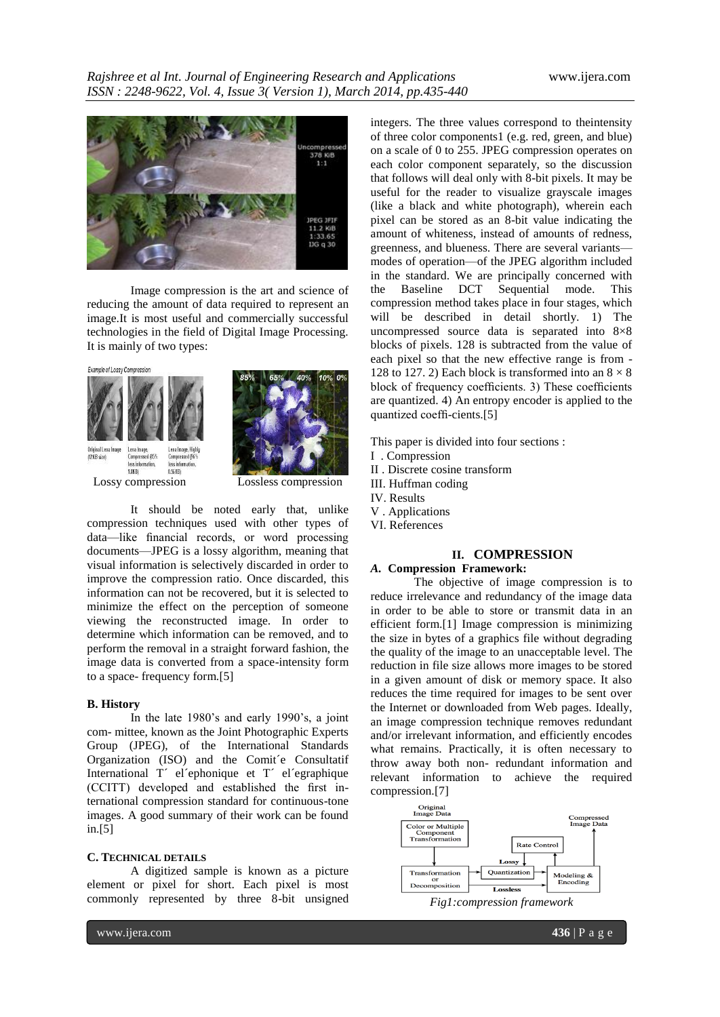

Image compression is the art and science of reducing the amount of data required to represent an image.It is most useful and commercially successful technologies in the field of Digital Image Processing. It is mainly of two types:



It should be noted early that, unlike compression techniques used with other types of data—like financial records, or word processing documents—JPEG is a lossy algorithm, meaning that visual information is selectively discarded in order to improve the compression ratio. Once discarded, this information can not be recovered, but it is selected to minimize the effect on the perception of someone viewing the reconstructed image. In order to determine which information can be removed, and to perform the removal in a straight forward fashion, the image data is converted from a space-intensity form to a space- frequency form.[5]

#### **B. History**

In the late 1980's and early 1990's, a joint com- mittee, known as the Joint Photographic Experts Group (JPEG), of the International Standards Organization (ISO) and the Comit´e Consultatif International T´ el´ephonique et T´ el´egraphique (CCITT) developed and established the first international compression standard for continuous-tone images. A good summary of their work can be found in.[5]

### **C. TECHNICAL DETAILS**

A digitized sample is known as a picture element or pixel for short. Each pixel is most commonly represented by three 8-bit unsigned

integers. The three values correspond to theintensity of three color components1 (e.g. red, green, and blue) on a scale of 0 to 255. JPEG compression operates on each color component separately, so the discussion that follows will deal only with 8-bit pixels. It may be useful for the reader to visualize grayscale images (like a black and white photograph), wherein each pixel can be stored as an 8-bit value indicating the amount of whiteness, instead of amounts of redness, greenness, and blueness. There are several variants modes of operation—of the JPEG algorithm included in the standard. We are principally concerned with the Baseline DCT Sequential mode. This compression method takes place in four stages, which will be described in detail shortly. 1) The uncompressed source data is separated into 8×8 blocks of pixels. 128 is subtracted from the value of each pixel so that the new effective range is from - 128 to 127. 2) Each block is transformed into an  $8 \times 8$ block of frequency coefficients. 3) These coefficients are quantized. 4) An entropy encoder is applied to the quantized coeffi-cients.[5]

This paper is divided into four sections :

- I . Compression
- II . Discrete cosine transform
- III. Huffman coding
- IV. Results
- V . Applications
- VI. References

## **II. COMPRESSION**

*A.* **Compression Framework:** The objective of image compression is to reduce irrelevance and redundancy of the image data in order to be able to store or [transmit](http://en.wikipedia.org/wiki/Data_transmission) data in an efficient form.[1] Image compression is minimizing the size in bytes of a graphics file without degrading the quality of the image to an unacceptable level. The reduction in file size allows more images to be stored in a given amount of disk or memory space. It also reduces the time required for images to be sent over the Internet or downloaded from Web pages. Ideally, an image compression technique removes redundant and/or irrelevant information, and efficiently encodes what remains. Practically, it is often necessary to throw away both non- redundant information and relevant information to achieve the required compression.[7]

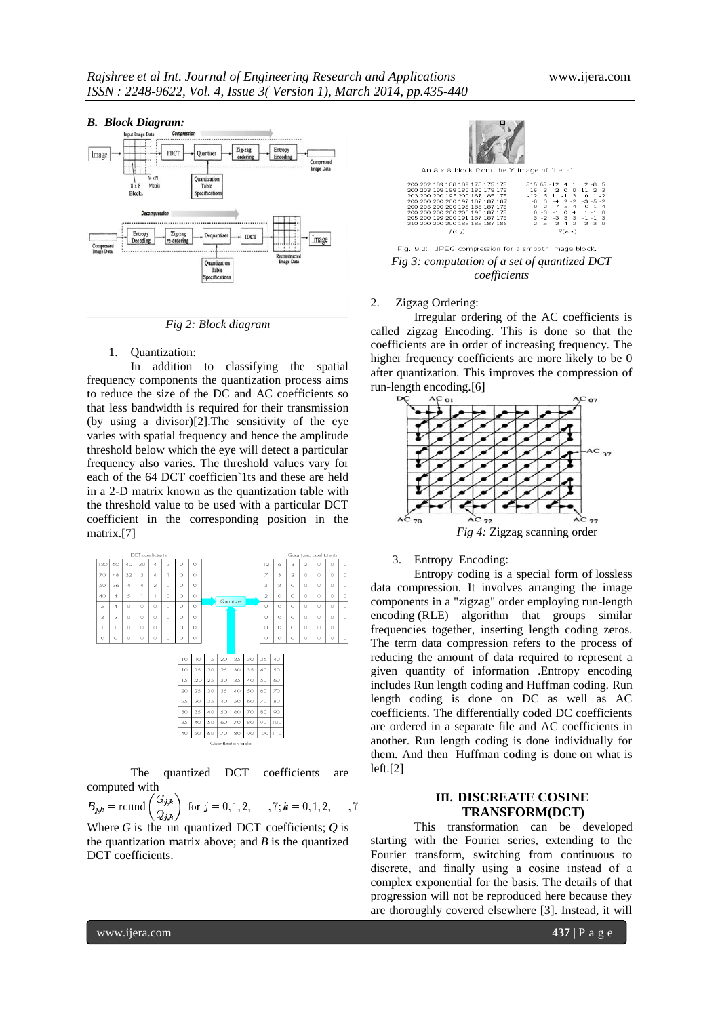

*Fig 2: Block diagram*

## 1. Quantization:

In addition to classifying the spatial frequency components the quantization process aims to reduce the size of the DC and AC coefficients so that less bandwidth is required for their transmission (by using a divisor)[2].The sensitivity of the eye varies with spatial frequency and hence the amplitude threshold below which the eye will detect a particular frequency also varies. The threshold values vary for each of the 64 DCT coefficien`1ts and these are held in a 2-D matrix known as the quantization table with the threshold value to be used with a particular DCT coefficient in the corresponding position in the matrix.[7]



The quantized DCT coefficients computed with

 $B_{j,k} = \text{round}\left(\frac{G_{j,k}}{Q_{j,k}}\right)$  for  $j = 0, 1, 2, \dots, 7; k = 0, 1, 2, \dots, 7$ <br>Where *G* is the un quantized DCT coefficients; *Q* is the quantization matrix above; and  $B$  is the quantized DCT coefficients.





#### 2. Zigzag Ordering:

Irregular ordering of the AC coefficients is called zigzag Encoding. This is done so that the coefficients are in order of increasing frequency. The higher frequency coefficients are more likely to be 0 after quantization. This improves the compression of run-length encoding.[6]





3. Entropy Encoding:

Entropy coding is a special form of [lossless](http://en.wikipedia.org/wiki/Lossless_data_compression)  [data compression.](http://en.wikipedia.org/wiki/Lossless_data_compression) It involves arranging the image components in a ["zigzag"](http://en.wikipedia.org/wiki/Zigzag) order employing [run-length](http://en.wikipedia.org/wiki/Run-length_encoding)  [encoding](http://en.wikipedia.org/wiki/Run-length_encoding) (RLE) algorithm that groups similar frequencies together, inserting length coding zeros. The term data compression refers to the process of reducing the amount of data required to represent a given quantity of information .Entropy encoding includes Run length coding and Huffman coding. Run length coding is done on DC as well as AC coefficients. The differentially coded DC coefficients are ordered in a separate file and AC coefficients in another. Run length coding is done individually for them. And then [Huffman coding](http://en.wikipedia.org/wiki/Huffman_coding) is done on what is left.[2]

## **III. DISCREATE COSINE TRANSFORM(DCT)**

This transformation can be developed starting with the Fourier series, extending to the Fourier transform, switching from continuous to discrete, and finally using a cosine instead of a complex exponential for the basis. The details of that progression will not be reproduced here because they are thoroughly covered elsewhere [3]. Instead, it will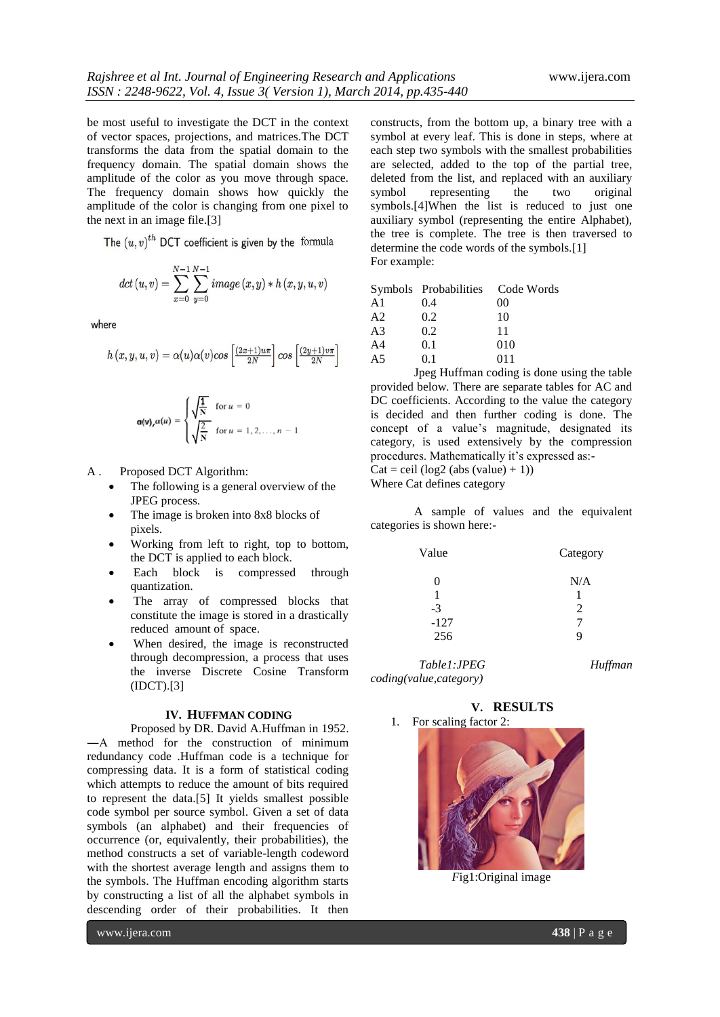be most useful to investigate the DCT in the context of vector spaces, projections, and matrices.The DCT transforms the data from the spatial domain to the frequency domain. The spatial domain shows the amplitude of the color as you move through space. The frequency domain shows how quickly the amplitude of the color is changing from one pixel to the next in an image file.[3]

The  $(u, v)^{th}$  DCT coefficient is given by the formula

$$
dct\left(u,v\right) = \sum_{x=0}^{N-1}\sum_{y=0}^{N-1} image(x,y)*h\left(x,y,u,v\right)
$$

where

$$
h(x,y,u,v) = \alpha(u)\alpha(v)\cos\left[\frac{(2x+1)u\pi}{2N}\right]\cos\left[\frac{(2y+1)v\pi}{2N}\right]
$$

$$
\alpha(v), \alpha(u) = \begin{cases} \sqrt{\frac{1}{N}} & \text{for } u = 0\\ \sqrt{\frac{2}{N}} & \text{for } u = 1, 2, \dots, n-1 \end{cases}
$$

A . Proposed DCT Algorithm:

- The following is a general overview of the JPEG process.
- The image is broken into 8x8 blocks of pixels.
- Working from left to right, top to bottom, the DCT is applied to each block.
- Each block is compressed through quantization.
- The array of compressed blocks that constitute the image is stored in a drastically reduced amount of space.
- When desired, the image is reconstructed through decompression, a process that uses the inverse Discrete Cosine Transform (IDCT).[3]

#### **IV. HUFFMAN CODING**

#### Proposed by DR. David A.Huffman in 1952.

―A method for the construction of minimum redundancy code .Huffman code is a technique for compressing data. It is a form of statistical coding which attempts to reduce the amount of bits required to represent the data.[5] It yields smallest possible code symbol per source symbol. Given a set of data symbols (an alphabet) and their frequencies of occurrence (or, equivalently, their probabilities), the method constructs a set of variable-length codeword with the shortest average length and assigns them to the symbols. The Huffman encoding algorithm starts by constructing a list of all the alphabet symbols in descending order of their probabilities. It then

constructs, from the bottom up, a binary tree with a symbol at every leaf. This is done in steps, where at each step two symbols with the smallest probabilities are selected, added to the top of the partial tree, deleted from the list, and replaced with an auxiliary<br>symbol representing the two original representing symbols.<sup>[4]</sup>When the list is reduced to just one auxiliary symbol (representing the entire Alphabet), the tree is complete. The tree is then traversed to determine the code words of the symbols.[1] For example:

| A1 | 0.4 | 00  |
|----|-----|-----|
| A2 | 0.2 | 10  |
| A3 | 0.2 | 11  |
| A4 | 0.1 | 010 |
| A5 | 0.1 | 011 |

Jpeg Huffman coding is done using the table provided below. There are separate tables for AC and DC coefficients. According to the value the category is decided and then further coding is done. The concept of a value"s magnitude, designated its category, is used extensively by the compression procedures. Mathematically it's expressed as:-

 $Cat =$ ceil (log2 (abs (value) + 1))

Where Cat defines category

A sample of values and the equivalent categories is shown here:-

| Value  | Category      |  |
|--------|---------------|--|
|        | N/A           |  |
|        |               |  |
| $-3$   | $\mathcal{L}$ |  |
| $-127$ |               |  |
| 256    | Q             |  |

 *Table1:JPEG Huffman coding(value,category)*

**V. RESULTS**

1. For scaling factor 2:



*F*ig1:Original image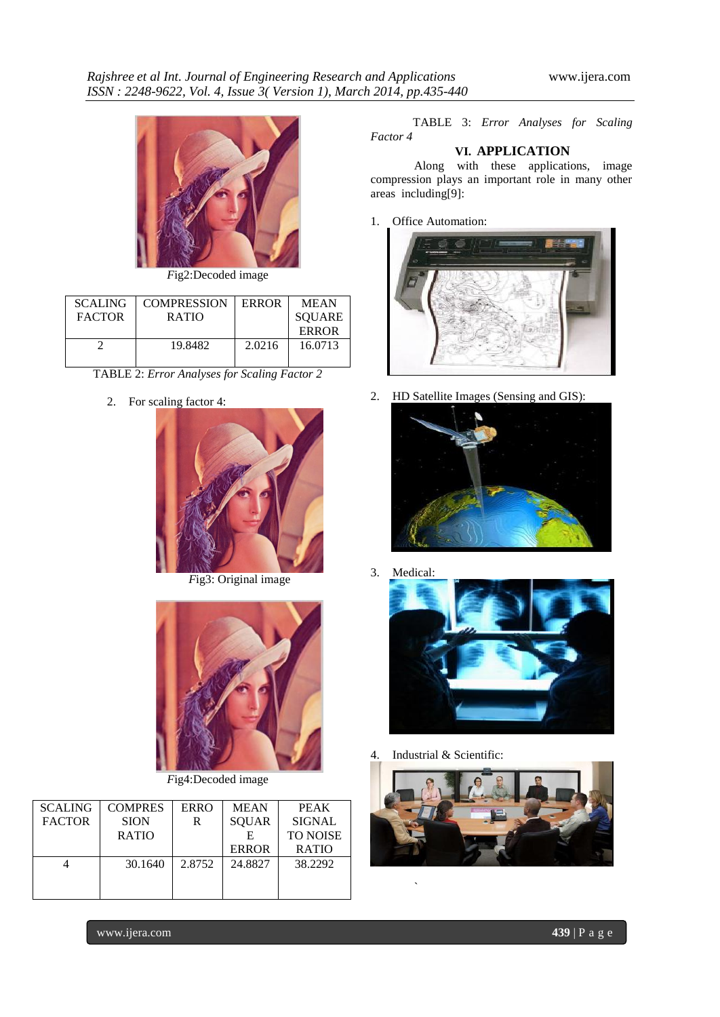

*F*ig2:Decoded image

| <b>SCALING</b><br><b>FACTOR</b> | <b>COMPRESSION</b><br><b>RATIO</b> | <b>ERROR</b> | <b>MEAN</b><br><b>SOUARE</b><br>ERROR |
|---------------------------------|------------------------------------|--------------|---------------------------------------|
|                                 | 19.8482                            | 2.0216       | 16.0713                               |

TABLE 2: *Error Analyses for Scaling Factor 2*

2. For scaling factor 4:



*F*ig3: Original image



*F*ig4:Decoded image

| <b>SCALING</b> | <b>COMPRES</b> | <b>ERRO</b> | <b>MEAN</b>  | <b>PEAK</b>     |
|----------------|----------------|-------------|--------------|-----------------|
| <b>FACTOR</b>  | <b>SION</b>    | R           | <b>SQUAR</b> | <b>SIGNAL</b>   |
|                | <b>RATIO</b>   |             | E            | <b>TO NOISE</b> |
|                |                |             | <b>ERROR</b> | <b>RATIO</b>    |
|                | 30.1640        | 2.8752      | 24.8827      | 38.2292         |
|                |                |             |              |                 |
|                |                |             |              |                 |

 TABLE 3: *Error Analyses for Scaling Factor 4*

## **VI. APPLICATION**

Along with these applications, image compression plays an important role in many other areas including[9]:

1. Office Automation:



2. HD Satellite Images (Sensing and GIS):



3. Medical:



4. Industrial & Scientific:

`